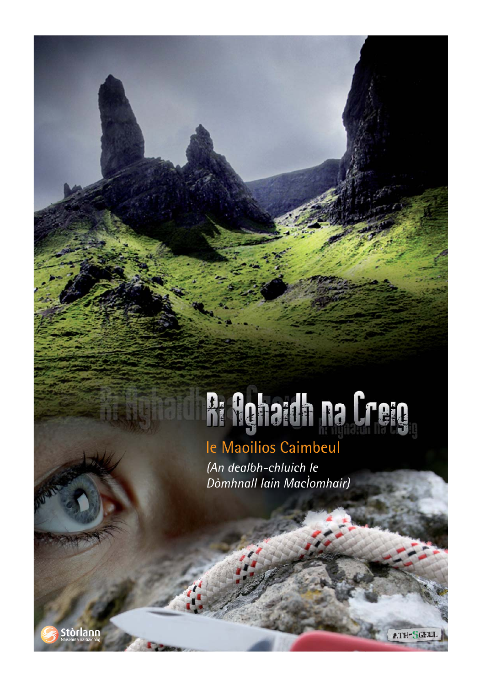# R: Aghaidh na Creig

ATH-SGEU

# le Maoilios Caimbeul

(An dealbh-chluich le Dòmhnall Iain Maclomhair)

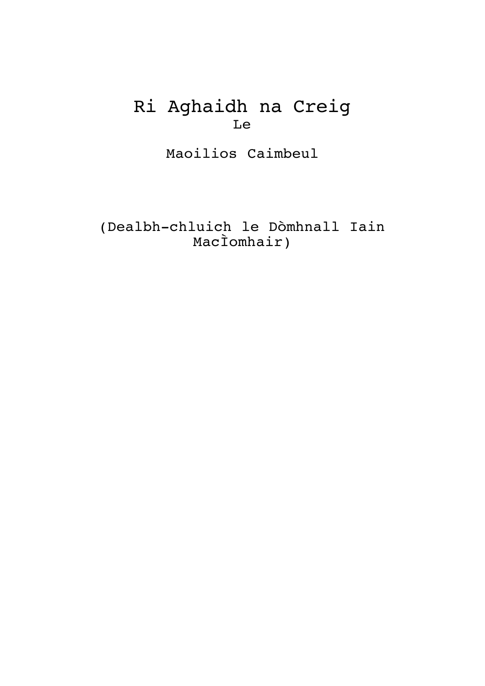# Ri Aghaidh na Creig Le

Maoilios Caimbeul

(Dealbh-chluich le Dòmhnall Iain MacÌomhair)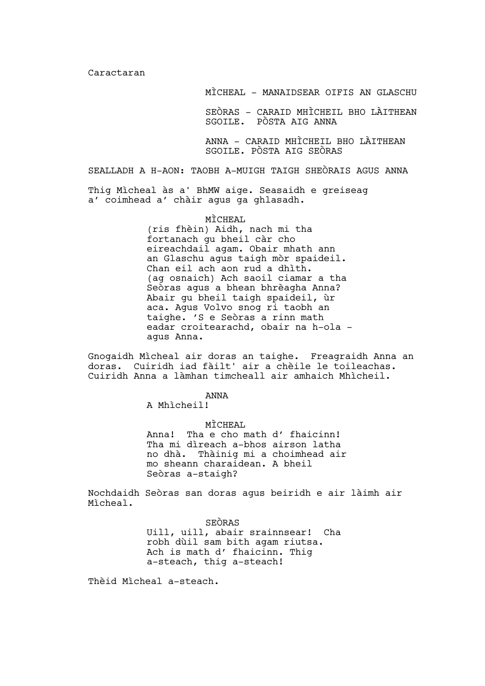Caractaran

# MÌCHEAL - MANAIDSEAR OIFIS AN GLASCHU

SEÒRAS - CARAID MHÌCHEIL BHO LÀITHEAN SGOILE. PÒSTA AIG ANNA

ANNA - CARAID MHÌCHEIL BHO LÀITHEAN SGOILE. PÒSTA AIG SEÒRAS

SEALLADH A H-AON: TAOBH A-MUIGH TAIGH SHEÒRAIS AGUS ANNA

Thig Mìcheal às a' BhMW aige. Seasaidh e greiseag a' coimhead a' chàir agus ga ghlasadh.

## MÌCHEAL

(ris fhèin) Aidh, nach mi tha fortanach gu bheil càr cho eireachdail agam. Obair mhath ann an Glaschu agus taigh mòr spaideil. Chan eil ach aon rud a dhìth. (ag osnaich) Ach saoil ciamar a tha Seòras agus a bhean bhrèagha Anna? Abair gu bheil taigh spaideil, ùr aca. Agus Volvo snog ri taobh an taighe. 'S e Seòras a rinn math eadar croitearachd, obair na h-ola agus Anna.

Gnogaidh Mìcheal air doras an taighe. Freagraidh Anna an doras. Cuiridh iad fàilt' air a chèile le toileachas. Cuiridh Anna a làmhan timcheall air amhaich Mhìcheil.

#### ANNA

A Mhìcheil!

# MÌCHEAL

Anna! Tha e cho math d' fhaicinn! Tha mi dìreach a-bhos airson latha no dhà. Thàinig mi a choimhead air mo sheann charaidean. A bheil Seòras a-staigh?

Nochdaidh Seòras san doras agus beiridh e air làimh air Mìcheal.

#### SEÒRAS

Uill, uill, abair srainnsear! Cha robh dùil sam bith agam riutsa. Ach is math d' fhaicinn. Thig a-steach, thig a-steach!

Thèid Mìcheal a-steach.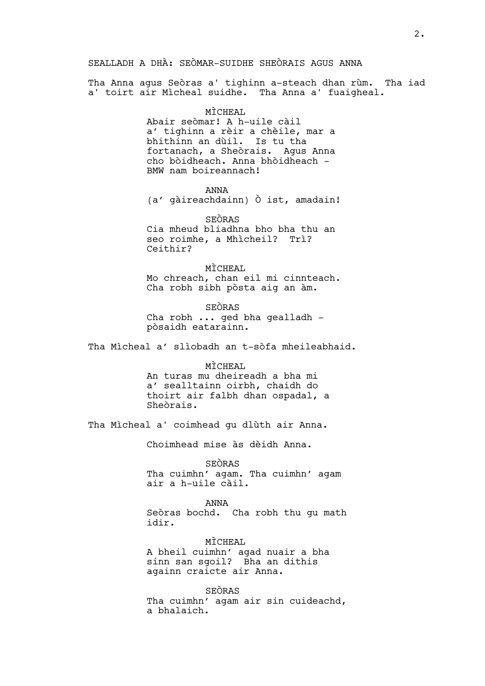# SEALLADH A DHÀ: SEÒMAR-SUIDHE SHEÒRAIS AGUS ANNA

Tha Anna agus Seòras a' tighinn a-steach dhan rùm. Tha iad a' toirt air Mìcheal suidhe. Tha Anna a' fuaigheal.

## MÌCHEAL

Abair seòmar! A h-uile càil a' tighinn a rèir a chèile, mar a bhithinn an dùil. Is tu tha fortanach, a Sheòrais. Agus Anna cho bòidheach. Anna bhòidheach – BMW nam boireannach!

ANNA

(a' gàireachdainn) Ò ist, amadain!

SEÒRAS Cia mheud bliadhna bho bha thu an seo roimhe, a Mhìcheil? Trì? Ceithir?

MÌCHEAL Mo chreach, chan eil mi cinnteach. Cha robh sibh pòsta aig an àm.

SEÒRAS Cha robh ... ged bha gealladh pòsaidh eatarainn.

Tha Mìcheal a' slìobadh an t-sòfa mheileabhaid.

MÌCHEAL An turas mu dheireadh a bha mi a' sealltainn oirbh, chaidh do thoirt air falbh dhan ospadal, a Sheòrais.

Tha Mìcheal a' coimhead gu dlùth air Anna.

Choimhead mise às dèidh Anna.

SEÒRAS Tha cuimhn' agam. Tha cuimhn' agam air a h-uile càil.

ANNA Seòras bochd. Cha robh thu gu math idir.

MÌCHEAL A bheil cuimhn' agad nuair a bha sinn san sgoil? Bha an dithis againn craicte air Anna.

SEÒRAS Tha cuimhn' agam air sin cuideachd, a bhalaich.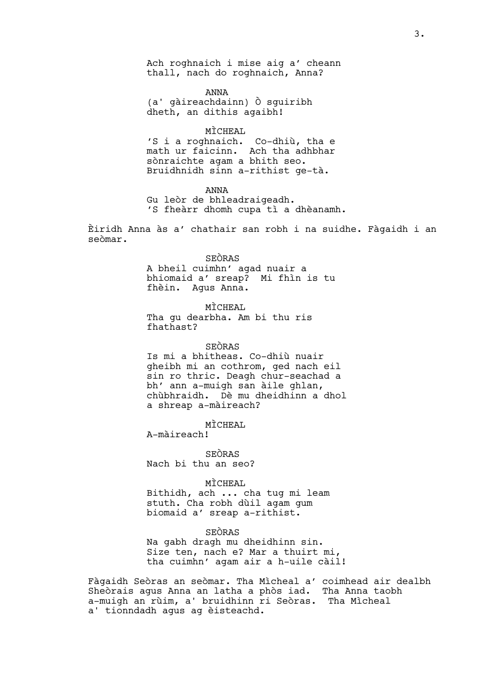Ach roghnaich i mise aig a' cheann thall, nach do roghnaich, Anna?

ANNA (a' gàireachdainn) Ò sguiribh dheth, an dithis agaibh!

## MÌCHEAL

'S i a roghnaich. Co-dhiù, tha e math ur faicinn. Ach tha adhbhar sònraichte agam a bhith seo. Bruidhnidh sinn a-rithist ge-tà.

#### ANNA

Gu leòr de bhleadraigeadh. 'S fheàrr dhomh cupa tì a dhèanamh.

Èiridh Anna às a' chathair san robh i na suidhe. Fàgaidh i an seòmar.

#### SEÒRAS

A bheil cuimhn' agad nuair a bhiomaid a' sreap? Mi fhìn is tu fhèin. Agus Anna.

MÌCHEAL Tha gu dearbha. Am bi thu ris fhathast?

#### SEÒRAS

Is mi a bhitheas. Co-dhiù nuair gheibh mi an cothrom, ged nach eil sin ro thric. Deagh chur-seachad a bh' ann a-muigh san àile ghlan, chùbhraidh. Dè mu dheidhinn a dhol a shreap a-màireach?

MÌCHEAL

A-màireach!

SEÒRAS Nach bi thu an seo?

#### MÌCHEAL

Bithidh, ach ... cha tug mi leam stuth. Cha robh dùil agam gum biomaid a' sreap a-rithist.

#### SEÒRAS

Na gabh dragh mu dheidhinn sin. Size ten, nach e? Mar a thuirt mi, tha cuimhn' agam air a h-uile càil!

Fàgaidh Seòras an seòmar. Tha Mìcheal a' coimhead air dealbh Sheòrais agus Anna an latha a phòs iad. Tha Anna taobh a-muigh an rùim, a' bruidhinn ri Seòras. Tha Mìcheal a' tionndadh agus ag èisteachd.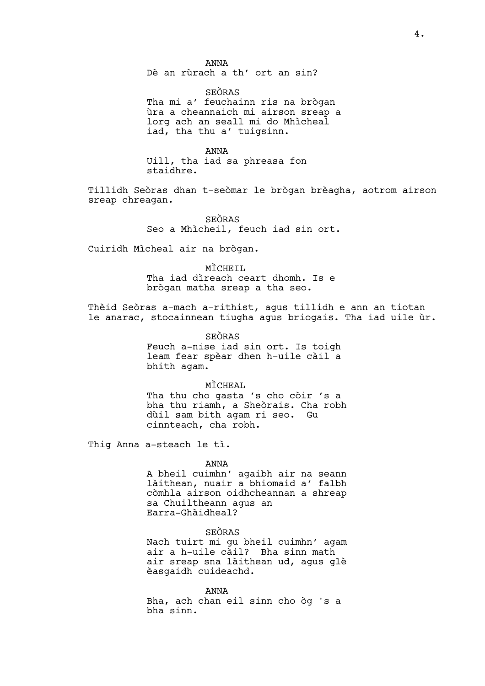Dè an rùrach a th' ort an sin?

SEÒRAS Tha mi a' feuchainn ris na brògan ùra a cheannaich mi airson sreap a lorg ach an seall mi do Mhìcheal iad, tha thu a' tuigsinn.

ANNA

Uill, tha iad sa phreasa fon staidhre.

Tillidh Seòras dhan t-seòmar le brògan brèagha, aotrom airson sreap chreagan.

> SEÒRAS Seo a Mhìcheil, feuch iad sin ort.

Cuiridh Mìcheal air na brògan.

MÌCHEIL Tha iad dìreach ceart dhomh. Is e brògan matha sreap a tha seo.

Thèid Seòras a-mach a-rithist, agus tillidh e ann an tiotan le anarac, stocainnean tiugha agus briogais. Tha iad uile ùr.

> SEÒRAS Feuch a-nise iad sin ort. Is toigh leam fear spèar dhen h-uile càil a bhith agam.

MÌCHEAL Tha thu cho gasta 's cho còir 's a bha thu riamh, a Sheòrais. Cha robh dùil sam bith agam ri seo. Gu cinnteach, cha robh.

Thig Anna a-steach le tì.

#### ANNA

A bheil cuimhn' agaibh air na seann làithean, nuair a bhiomaid a' falbh còmhla airson oidhcheannan a shreap sa Chuiltheann agus an Earra-Ghàidheal?

SEÒRAS Nach tuirt mi gu bheil cuimhn' agam

air a h-uile càil? Bha sinn math air sreap sna làithean ud, agus glè èasgaidh cuideachd.

ANNA Bha, ach chan eil sinn cho òg 's a bha sinn.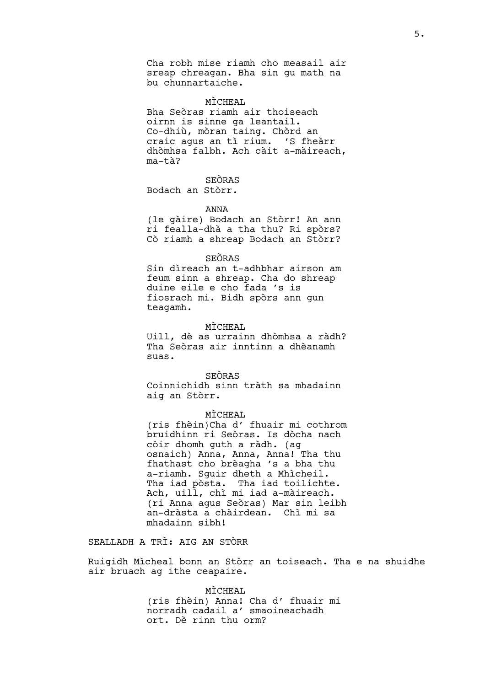Cha robh mise riamh cho measail air sreap chreagan. Bha sin gu math na bu chunnartaiche.

#### MÌCHEAL

Bha Seòras riamh air thoiseach oirnn is sinne ga leantail. Co-dhiù, mòran taing. Chòrd an craic agus an tì rium. 'S fheàrr dhòmhsa falbh. Ach càit a-màireach, ma-tà?

# SEÒRAS

Bodach an Stòrr.

#### ANNA

(le gàire) Bodach an Stòrr! An ann ri fealla-dhà a tha thu? Ri spòrs? Cò riamh a shreap Bodach an Stòrr?

#### SEÒRAS

Sin dìreach an t-adhbhar airson am feum sinn a shreap. Cha do shreap duine eile e cho fada 's is fiosrach mi. Bidh spòrs ann gun teagamh.

#### MÌCHEAL

Uill, dè as urrainn dhòmhsa a ràdh? Tha Seòras air inntinn a dhèanamh suas.

#### SEÒRAS

Coinnichidh sinn tràth sa mhadainn aig an Stòrr.

#### MÌCHEAL

(ris fhèin)Cha d' fhuair mi cothrom bruidhinn ri Seòras. Is dòcha nach còir dhomh guth a ràdh. (ag osnaich) Anna, Anna, Anna! Tha thu fhathast cho brèagha 's a bha thu a-riamh. Sguir dheth a Mhìcheil. Tha iad pòsta. Tha iad toilichte. Ach, uill, chì mi iad a-màireach. (ri Anna agus Seòras) Mar sin leibh an-dràsta a chàirdean. Chì mi sa mhadainn sibh!

SEALLADH A TRÌ: AIG AN STÒRR

Ruigidh Mìcheal bonn an Stòrr an toiseach. Tha e na shuidhe air bruach ag ithe ceapaire.

> MÌCHEAL (ris fhèin) Anna! Cha d' fhuair mi norradh cadail a' smaoineachadh ort. Dè rinn thu orm?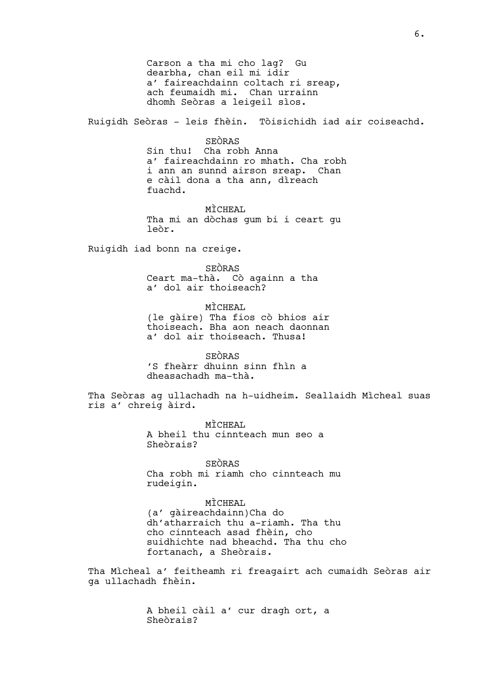Carson a tha mi cho lag? Gu dearbha, chan eil mi idir a' faireachdainn coltach ri sreap, ach feumaidh mi. Chan urrainn dhomh Seòras a leigeil sìos.

Ruigidh Seòras - leis fhèin. Tòisichidh iad air coiseachd.

SEÒRAS

Sin thu! Cha robh Anna a' faireachdainn ro mhath. Cha robh i ann an sunnd airson sreap. Chan e càil dona a tha ann, dìreach fuachd.

MÌCHEAL Tha mi an dòchas gum bi i ceart gu leòr.

Ruigidh iad bonn na creige.

SEÒRAS Ceart ma-thà. Cò againn a tha a' dol air thoiseach?

MÌCHEAL (le gàire) Tha fios cò bhios air thoiseach. Bha aon neach daonnan a' dol air thoiseach. Thusa!

SEÒRAS 'S fheàrr dhuinn sinn fhìn a dheasachadh ma-thà.

Tha Seòras ag ullachadh na h-uidheim. Seallaidh Mìcheal suas ris a' chreig àird.

> MÌCHEAL A bheil thu cinnteach mun seo a Sheòrais?

SEÒRAS Cha robh mi riamh cho cinnteach mu rudeigin.

MÌCHEAL (a' gàireachdainn)Cha do dh'atharraich thu a-riamh. Tha thu cho cinnteach asad fhèin, cho suidhichte nad bheachd. Tha thu cho fortanach, a Sheòrais.

Tha Mìcheal a' feitheamh ri freagairt ach cumaidh Seòras air ga ullachadh fhèin.

> A bheil càil a' cur dragh ort, a Sheòrais?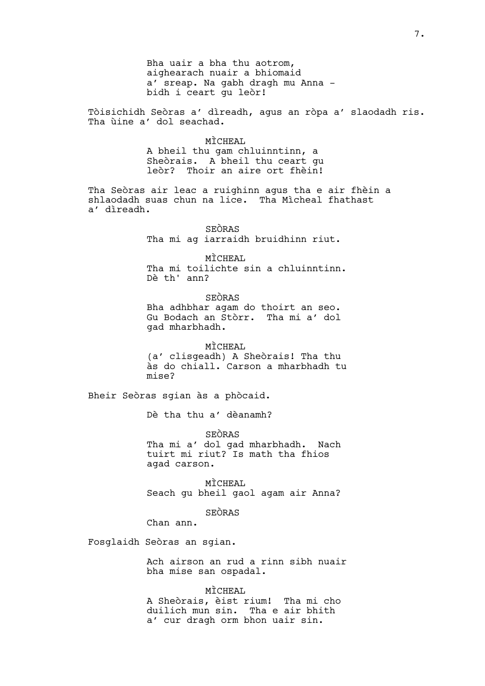Bha uair a bha thu aotrom, aighearach nuair a bhiomaid a' sreap. Na gabh dragh mu Anna bidh i ceart gu leòr!

Tòisichidh Seòras a' dìreadh, agus an ròpa a' slaodadh ris. Tha ùine a' dol seachad.

> MÌCHEAL A bheil thu gam chluinntinn, a Sheòrais. A bheil thu ceart gu leòr? Thoir an aire ort fhèin!

Tha Seòras air leac a ruighinn agus tha e air fhèin a shlaodadh suas chun na lice. Tha Mìcheal fhathast a' dìreadh.

> SEÒRAS Tha mi ag iarraidh bruidhinn riut.

MÌCHEAL Tha mi toilichte sin a chluinntinn. Dè th' ann?

SEÒRAS Bha adhbhar agam do thoirt an seo. Gu Bodach an Stòrr. Tha mi a' dol gad mharbhadh.

MÌCHEAL (a' clisgeadh) A Sheòrais! Tha thu às do chiall. Carson a mharbhadh tu mise?

Bheir Seòras sgian às a phòcaid.

Dè tha thu a' dèanamh?

SEÒRAS Tha mi a' dol gad mharbhadh. Nach tuirt mi riut? Is math tha fhios agad carson.

MÌCHEAL Seach gu bheil gaol agam air Anna?

SEÒRAS

Chan ann.

Fosglaidh Seòras an sgian.

Ach airson an rud a rinn sibh nuair bha mise san ospadal.

MÌCHEAL A Sheòrais, èist rium! Tha mi cho duilich mun sin. Tha e air bhith a' cur dragh orm bhon uair sin.